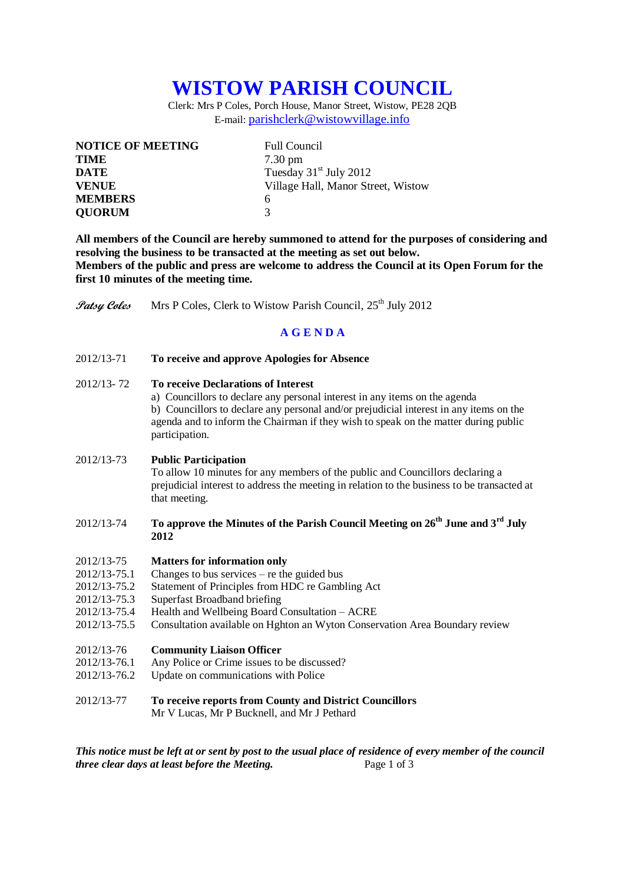# **WISTOW PARISH COUNCIL**

Clerk: Mrs P Coles, Porch House, Manor Street, Wistow, PE28 2QB E-mail: [parishclerk@wistowvillage.info](mailto:parishclerk@wistowvillage.info)

| <b>NOTICE OF MEETING</b> | <b>Full Council</b>                |
|--------------------------|------------------------------------|
| <b>TIME</b>              | $7.30 \text{ pm}$                  |
| <b>DATE</b>              | Tuesday $31st$ July 2012           |
| <b>VENUE</b>             | Village Hall, Manor Street, Wistow |
| <b>MEMBERS</b>           | 6                                  |
| <b>QUORUM</b>            | 3                                  |

**All members of the Council are hereby summoned to attend for the purposes of considering and resolving the business to be transacted at the meeting as set out below. Members of the public and press are welcome to address the Council at its Open Forum for the first 10 minutes of the meeting time.**

Patsy Coles Mrs P Coles, Clerk to Wistow Parish Council, 25<sup>th</sup> July 2012

## **A G E N D A**

2012/13-71 **To receive and approve Apologies for Absence**

### 2012/13- 72 **To receive Declarations of Interest**

a) Councillors to declare any personal interest in any items on the agenda b) Councillors to declare any personal and/or prejudicial interest in any items on the agenda and to inform the Chairman if they wish to speak on the matter during public participation.

#### 2012/13-73 **Public Participation**

To allow 10 minutes for any members of the public and Councillors declaring a prejudicial interest to address the meeting in relation to the business to be transacted at that meeting.

## 2012/13-74 **To approve the Minutes of the Parish Council Meeting on 26th June and 3rd July 2012**

- 2012/13-75 **Matters for information only**
- 2012/13-75.1 Changes to bus services re the guided bus
- 2012/13-75.2 Statement of Principles from HDC re Gambling Act
- 2012/13-75.3 Superfast Broadband briefing
- 2012/13-75.4 Health and Wellbeing Board Consultation ACRE
- 2012/13-75.5 Consultation available on Hghton an Wyton Conservation Area Boundary review
- 2012/13-76 **Community Liaison Officer**
- 2012/13-76.1 Any Police or Crime issues to be discussed?
- 2012/13-76.2 Update on communications with Police
- 2012/13-77 **To receive reports from County and District Councillors** Mr V Lucas, Mr P Bucknell, and Mr J Pethard

*This notice must be left at or sent by post to the usual place of residence of every member of the council three clear days at least before the Meeting.* Page 1 of 3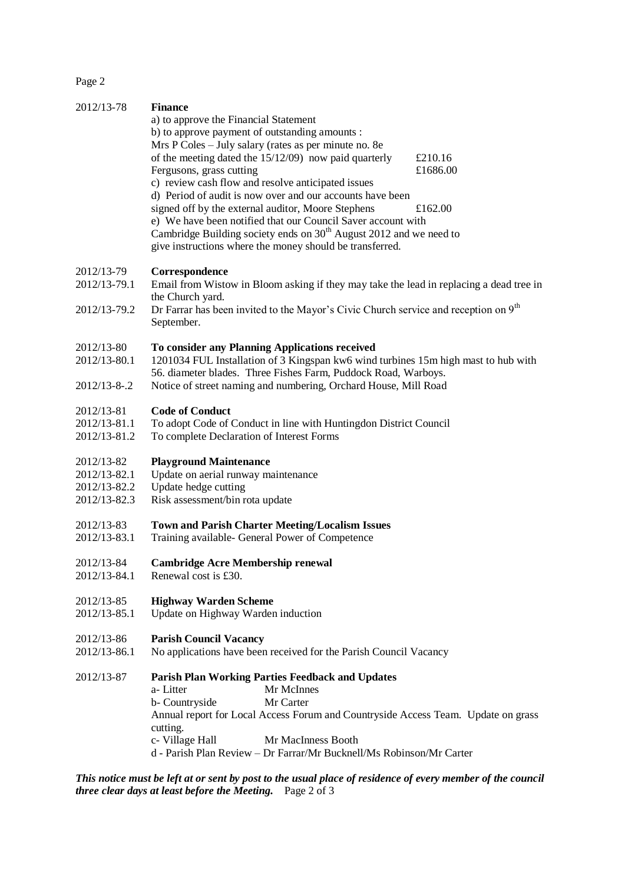Page 2

| 2012/13-78   | <b>Finance</b>                                                                                            |          |
|--------------|-----------------------------------------------------------------------------------------------------------|----------|
|              | a) to approve the Financial Statement                                                                     |          |
|              | b) to approve payment of outstanding amounts :                                                            |          |
|              | Mrs P Coles - July salary (rates as per minute no. 8e                                                     |          |
|              | of the meeting dated the $15/12/09$ now paid quarterly                                                    | £210.16  |
|              | Fergusons, grass cutting                                                                                  | £1686.00 |
|              | c) review cash flow and resolve anticipated issues                                                        |          |
|              | d) Period of audit is now over and our accounts have been                                                 |          |
|              | signed off by the external auditor, Moore Stephens                                                        | £162.00  |
|              | e) We have been notified that our Council Saver account with                                              |          |
|              | Cambridge Building society ends on 30 <sup>th</sup> August 2012 and we need to                            |          |
|              | give instructions where the money should be transferred.                                                  |          |
|              |                                                                                                           |          |
| 2012/13-79   | Correspondence                                                                                            |          |
| 2012/13-79.1 | Email from Wistow in Bloom asking if they may take the lead in replacing a dead tree in                   |          |
|              | the Church yard.                                                                                          |          |
| 2012/13-79.2 | Dr Farrar has been invited to the Mayor's Civic Church service and reception on $9th$                     |          |
|              | September.                                                                                                |          |
|              |                                                                                                           |          |
| 2012/13-80   | To consider any Planning Applications received                                                            |          |
| 2012/13-80.1 | 1201034 FUL Installation of 3 Kingspan kw6 wind turbines 15m high mast to hub with                        |          |
|              | 56. diameter blades. Three Fishes Farm, Puddock Road, Warboys.                                            |          |
| 2012/13-8-.2 | Notice of street naming and numbering, Orchard House, Mill Road                                           |          |
| 2012/13-81   | <b>Code of Conduct</b>                                                                                    |          |
| 2012/13-81.1 | To adopt Code of Conduct in line with Huntingdon District Council                                         |          |
| 2012/13-81.2 | To complete Declaration of Interest Forms                                                                 |          |
|              |                                                                                                           |          |
| 2012/13-82   | <b>Playground Maintenance</b>                                                                             |          |
| 2012/13-82.1 | Update on aerial runway maintenance                                                                       |          |
| 2012/13-82.2 | Update hedge cutting                                                                                      |          |
| 2012/13-82.3 | Risk assessment/bin rota update                                                                           |          |
|              |                                                                                                           |          |
| 2012/13-83   | <b>Town and Parish Charter Meeting/Localism Issues</b>                                                    |          |
| 2012/13-83.1 | Training available- General Power of Competence                                                           |          |
| 2012/13-84   | <b>Cambridge Acre Membership renewal</b>                                                                  |          |
| 2012/13-84.1 | Renewal cost is £30.                                                                                      |          |
|              |                                                                                                           |          |
| 2012/13-85   | <b>Highway Warden Scheme</b>                                                                              |          |
| 2012/13-85.1 | Update on Highway Warden induction                                                                        |          |
|              |                                                                                                           |          |
| 2012/13-86   | <b>Parish Council Vacancy</b>                                                                             |          |
| 2012/13-86.1 | No applications have been received for the Parish Council Vacancy                                         |          |
| 2012/13-87   | <b>Parish Plan Working Parties Feedback and Updates</b>                                                   |          |
|              | Mr McInnes<br>a-Litter                                                                                    |          |
|              | Mr Carter<br>b- Countryside                                                                               |          |
|              | Annual report for Local Access Forum and Countryside Access Team. Update on grass                         |          |
|              |                                                                                                           |          |
|              | cutting.<br>Mr MacInness Booth                                                                            |          |
|              | c- Village Hall<br>d - Parish Plan Review - Dr Farrar/Mr Bucknell/Ms Robinson/Mr Carter                   |          |
|              |                                                                                                           |          |
|              | This notice must be left at an sent by post to the usual place of residence of gram member of the council |          |

*This notice must be left at or sent by post to the usual place of residence of every member of the council three clear days at least before the Meeting.* Page 2 of 3